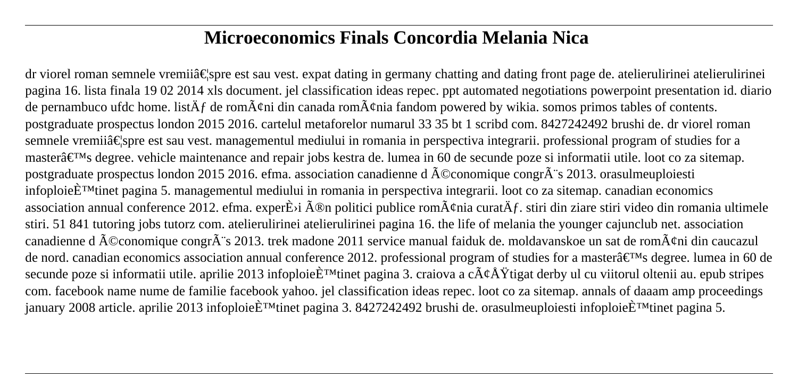# **Microeconomics Finals Concordia Melania Nica**

 $d$ r viorel roman semnele vremii $\hat{a} \in S$  spre est sau vest. expat dating in germany chatting and dating front page de. atelierulirinei atelierulirinei pagina 16. lista finala 19 02 2014 xls document. jel classification ideas repec. ppt automated negotiations powerpoint presentation id. diario de pernambuco ufdc home. list $\ddot{A}f$  de rom $\ddot{A}$ ¢ni din canada rom $\ddot{A}$ ¢nia fandom powered by wikia. somos primos tables of contents. postgraduate prospectus london 2015 2016. cartelul metaforelor numarul 33 35 bt 1 scribd com. 8427242492 brushi de. dr viorel roman semnele vremiiâ Elspre est sau vest. managementul mediului in romania in perspectiva integrarii. professional program of studies for a master $\hat{\mathbf{a}} \in \mathbb{M}$ s degree. vehicle maintenance and repair jobs kestra de. lumea in 60 de secunde poze si informatii utile. loot co za sitemap. postgraduate prospectus london 2015 2016. efma. association canadienne d ©conomique congr s 2013. orasulmeuploiesti infoploie $\hat{E}^{\text{TM}}$ tinet pagina 5. managementul mediului in romania in perspectiva integrarii. loot co za sitemap. canadian economics association annual conference 2012. efma. exper $\hat{E}$  a  $\hat{A}$  ®n politici publice rom $\hat{A}$ ¢nia curat $\hat{A}f$ . stiri din ziare stiri video din romania ultimele stiri. 51 841 tutoring jobs tutorz com. atelierulirinei atelierulirinei pagina 16. the life of melania the younger cajunclub net. association canadienne d  $\tilde{A}$ ©conomique congr $\tilde{A}$ "s 2013. trek madone 2011 service manual faiduk de. moldavanskoe un sat de rom $\tilde{A}$ ¢ni din caucazul de nord. canadian economics association annual conference 2012. professional program of studies for a master $\hat{\mathbf{a}} \in \mathbb{N}$ s degree. lumea in 60 de secunde poze si informatii utile. aprilie 2013 infoploie $\hat{E}^{TM}$ tinet pagina 3. craiova a c $\tilde{A}\varphi\hat{A}\ddot{Y}$ tigat derby ul cu viitorul oltenii au. epub stripes com. facebook name nume de familie facebook yahoo. jel classification ideas repec. loot co za sitemap. annals of daaam amp proceedings january 2008 article. aprilie 2013 infoploie $\hat{E}^{\text{TM}}$ tinet pagina 3. 8427242492 brushi de. orasulmeuploiesti infoploie $\hat{E}^{\text{TM}}$ tinet pagina 5.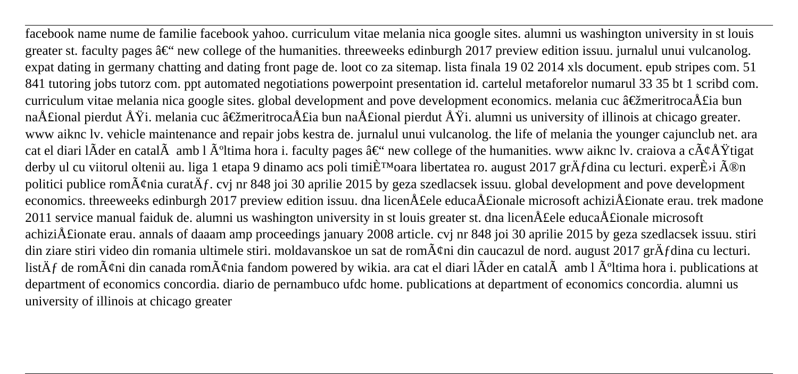facebook name nume de familie facebook yahoo. curriculum vitae melania nica google sites. alumni us washington university in st louis greater st. faculty pages  $\hat{a}\in\hat{C}$  new college of the humanities. threeweeks edinburgh 2017 preview edition issuu. jurnalul unui vulcanolog. expat dating in germany chatting and dating front page de. loot co za sitemap. lista finala 19 02 2014 xls document. epub stripes com. 51 841 tutoring jobs tutorz com. ppt automated negotiations powerpoint presentation id. cartelul metaforelor numarul 33 35 bt 1 scribd com. curriculum vitae melania nica google sites. global development and pove development economics. melania cuc  $\hat{a} \in \hat{z}$ meritroca $\hat{A}$ £ia bun naţional pierdut ÅŸi. melania cuc "meritrocaÅ£ia bun naÅ£ional pierdut ÅŸi. alumni us university of illinois at chicago greater. www aiknc lv. vehicle maintenance and repair jobs kestra de. jurnalul unui vulcanolog. the life of melania the younger cajunclub net. ara cat el diari lÃder en català amb lúltima hora i. faculty pages â€" new college of the humanities. www aiknc lv. craiova a câÅŸtigat derby ul cu viitorul oltenii au. liga 1 etapa 9 dinamo acs poli timiÈ<sup>TM</sup>oara libertatea ro. august 2017 grÄfdina cu lecturi. experÈ>i în politici publice rom $\tilde{A}$ ¢nia curat $\tilde{A}f$ . cvj nr 848 joi 30 aprilie 2015 by geza szedlacsek issuu. global development and pove development economics. threeweeks edinburgh 2017 preview edition issuu. dna licenţele educaÅ£ionale microsoft achiziÅ£ionate erau. trek madone 2011 service manual faiduk de. alumni us washington university in st louis greater st. dna licen $\AA$ £ele educa $\AA$ £ionale microsoft achiziţionate erau. annals of daaam amp proceedings january 2008 article. cvj nr 848 joi 30 aprilie 2015 by geza szedlacsek issuu. stiri din ziare stiri video din romania ultimele stiri. moldavanskoe un sat de rom $\tilde{A}$ ¢ni din caucazul de nord. august 2017 gr $\tilde{A}$ fdina cu lecturi. list $\ddot{A}f$  de rom $\ddot{A}\phi$ ni din canada rom $\ddot{A}\phi$ nia fandom powered by wikia. ara cat el diari l $\ddot{A}$ der en catal $\ddot{A}$  amb l $\ddot{A}$ <sup>o</sup>ltima hora i. publications at department of economics concordia. diario de pernambuco ufdc home. publications at department of economics concordia. alumni us university of illinois at chicago greater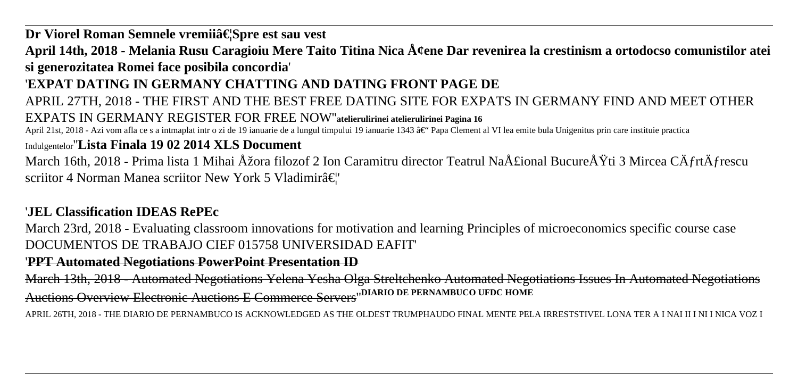Dr Viorel Roman Semnele vremii…Spre est sau vest

April 14th, 2018 - Melania Rusu Caragioiu Mere Taito Titina Nica Ţene Dar revenirea la crestinism a ortodocso comunistilor atei **si generozitatea Romei face posibila concordia**'

## '**EXPAT DATING IN GERMANY CHATTING AND DATING FRONT PAGE DE**

APRIL 27TH, 2018 - THE FIRST AND THE BEST FREE DATING SITE FOR EXPATS IN GERMANY FIND AND MEET OTHER EXPATS IN GERMANY REGISTER FOR FREE NOW''**atelierulirinei atelierulirinei Pagina 16** April 21st, 2018 - Azi vom afla ce s a intmaplat intr o zi de 19 ianuarie de a lungul timpului 19 ianuarie 1343 †Papa Clement al VI lea emite bula Unigenitus prin care instituie practica Indulgentelor''**Lista Finala 19 02 2014 XLS Document**

March 16th, 2018 - Prima lista 1 Mihai Şora filozof 2 Ion Caramitru director Teatrul Naţional BucureÅŸti 3 Mircea CÄfrtÄfrescu scriitor 4 Norman Manea scriitor New York 5 Vladimirâ $\epsilon$ !

## '**JEL Classification IDEAS RePEc**

March 23rd, 2018 - Evaluating classroom innovations for motivation and learning Principles of microeconomics specific course case DOCUMENTOS DE TRABAJO CIEF 015758 UNIVERSIDAD EAFIT'

### '**PPT Automated Negotiations PowerPoint Presentation ID**

March 13th, 2018 - Automated Negotiations Yelena Yesha Olga Streltchenko Automated Negotiations Issues In Automated Negotiations Auctions Overview Electronic Auctions E Commerce Servers''**DIARIO DE PERNAMBUCO UFDC HOME**

APRIL 26TH, 2018 - THE DIARIO DE PERNAMBUCO IS ACKNOWLEDGED AS THE OLDEST TRUMPHAUDO FINAL MENTE PELA IRRESTSTIVEL LONA TER A I NAI II I NI I NICA VOZ I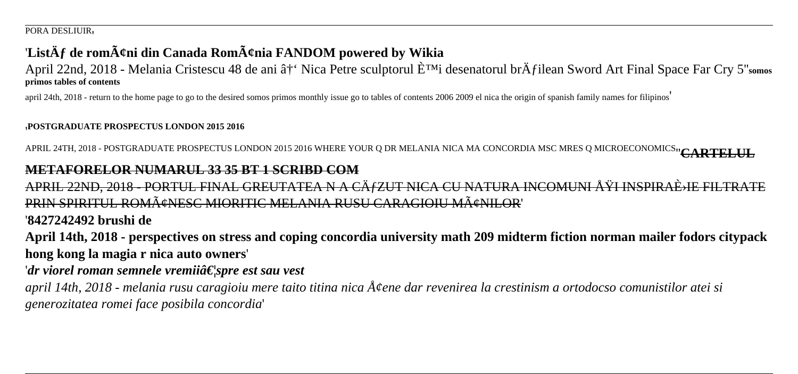#### PORA DESLIUIR'

## 'List $\ddot{A}$ f de rom $\ddot{A}$ cni din Canada Rom $\ddot{A}$ cnia FANDOM powered by Wikia

April 22nd, 2018 - Melania Cristescu 48 de ani ↠Nica Petre sculptorul È<sup>™</sup>i desenatorul brÄfilean Sword Art Final Space Far Cry 5"somos **primos tables of contents**

april 24th, 2018 - return to the home page to go to the desired somos primos monthly issue go to tables of contents 2006 2009 el nica the origin of spanish family names for filipinos'

#### '**POSTGRADUATE PROSPECTUS LONDON 2015 2016**

APRIL 24TH, 2018 - POSTGRADUATE PROSPECTUS LONDON 2015 2016 WHERE YOUR Q DR MELANIA NICA MA CONCORDIA MSC MRES Q MICROECONOMICS<sub>''</sub>CAPTELLI

### **METAFORELOR NUMARUL 33 35 BT 1 SCRIBD COM**

APRIL 22ND, 2018 - PORTUL FINAL GREUTATEA N A CÄfZUT NICA CU NATURA INCOMUNI ÅŸI INSPIRAÈ>IE FILTRATE PRIN SPIRITUL ROMâNESC MIORITIC MELANIA RUSU CARAGIOIU MâNILOR'

'**8427242492 brushi de**

**April 14th, 2018 - perspectives on stress and coping concordia university math 209 midterm fiction norman mailer fodors citypack hong kong la magia r nica auto owners**'

'*dr viorel roman semnele vremii…spre est sau vest* 

*april 14th, 2018 - melania rusu caragioiu mere taito titina nica Ţene dar revenirea la crestinism a ortodocso comunistilor atei si generozitatea romei face posibila concordia*'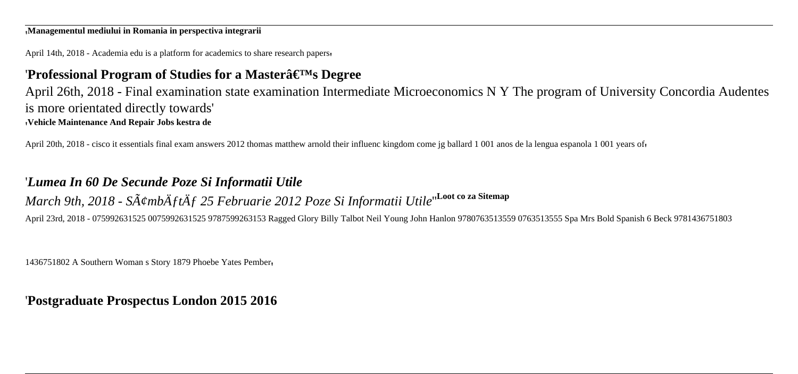#### '**Managementul mediului in Romania in perspectiva integrarii**

April 14th, 2018 - Academia edu is a platform for academics to share research papers'

### '**Professional Program of Studies for a Masterâ€**<sup>™</sup>s Degree

April 26th, 2018 - Final examination state examination Intermediate Microeconomics N Y The program of University Concordia Audentes is more orientated directly towards' '**Vehicle Maintenance And Repair Jobs kestra de**

April 20th, 2018 - cisco it essentials final exam answers 2012 thomas matthew arnold their influenc kingdom come jg ballard 1 001 anos de la lengua espanola 1 001 years of,

### '*Lumea In 60 De Secunde Poze Si Informatii Utile*

*March 9th, 2018 - S* $\tilde{A}$ *¢mb* $\tilde{A}$ *ft* $\tilde{A}$ *f 25 Februarie 2012 Poze Si Informatii Utile*<sup>''Loot co za Sitemap</sup> April 23rd, 2018 - 075992631525 0075992631525 9787599263153 Ragged Glory Billy Talbot Neil Young John Hanlon 9780763513559 0763513555 Spa Mrs Bold Spanish 6 Beck 9781436751803

1436751802 A Southern Woman s Story 1879 Phoebe Yates Pember'

### '**Postgraduate Prospectus London 2015 2016**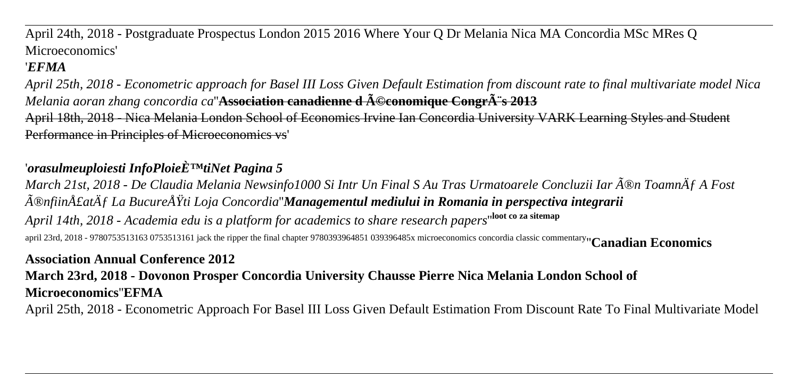April 24th, 2018 - Postgraduate Prospectus London 2015 2016 Where Your Q Dr Melania Nica MA Concordia MSc MRes Q Microeconomics'

### '*EFMA*

*April 25th, 2018 - Econometric approach for Basel III Loss Given Default Estimation from discount rate to final multivariate model Nica Melania aoran zhang concordia ca*"**Association canadienne d <del>économique Congrà s 2013</del>** April 18th, 2018 - Nica Melania London School of Economics Irvine Ian Concordia University VARK Learning Styles and Student Performance in Principles of Microeconomics vs'

# '*orasulmeuploiesti InfoPloieștiNet Pagina 5*

*March 21st, 2018 - De Claudia Melania Newsinfo1000 Si Intr Un Final S Au Tras Urmatoarele Concluzii Iar ®n ToamnÄ f A Fost înfiinţată La Bucureşti Loja Concordia*''*Managementul mediului in Romania in perspectiva integrarii April 14th, 2018 - Academia edu is a platform for academics to share research papers*''**loot co za sitemap** april 23rd, 2018 - 9780753513163 0753513161 jack the ripper the final chapter 9780393964851 039396485x microeconomics concordia classic commentary''**Canadian Economics**

## **Association Annual Conference 2012**

## **March 23rd, 2018 - Dovonon Prosper Concordia University Chausse Pierre Nica Melania London School of Microeconomics**''**EFMA**

April 25th, 2018 - Econometric Approach For Basel III Loss Given Default Estimation From Discount Rate To Final Multivariate Model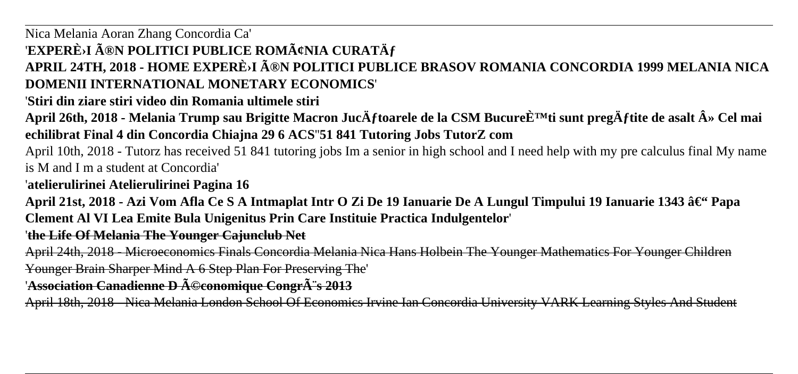Nica Melania Aoran Zhang Concordia Ca'

# 'EXPERÈ<sup>L</sup> îN POLITICI PUBLICE ROMâNIA CURATÄ f

APRIL 24TH, 2018 - HOME EXPERÈ>I îN POLITICI PUBLICE BRASOV ROMANIA CONCORDIA 1999 MELANIA NICA **DOMENII INTERNATIONAL MONETARY ECONOMICS**'

'**Stiri din ziare stiri video din Romania ultimele stiri**

April 26th, 2018 - Melania Trump sau Brigitte Macron Juc**ăftoarele de la CSM Bucure** E<sup>TM</sup>ti sunt pregăftite de asalt » Cel mai **echilibrat Final 4 din Concordia Chiajna 29 6 ACS**''**51 841 Tutoring Jobs TutorZ com**

April 10th, 2018 - Tutorz has received 51 841 tutoring jobs Im a senior in high school and I need help with my pre calculus final My name is M and I m a student at Concordia'

'**atelierulirinei Atelierulirinei Pagina 16**

April 21st, 2018 - Azi Vom Afla Ce S A Intmaplat Intr O Zi De 19 Ianuarie De A Lungul Timpului 19 Ianuarie 1343 – Papa **Clement Al VI Lea Emite Bula Unigenitus Prin Care Instituie Practica Indulgentelor**'

'**the Life Of Melania The Younger Cajunclub Net**

April 24th, 2018 - Microeconomics Finals Concordia Melania Nica Hans Holbein The Younger Mathematics For Younger Children Younger Brain Sharper Mind A 6 Step Plan For Preserving The'

### 'Association Canadienne D A©conomique CongrA<sup>"</sup>s 2013

April 18th, 2018 - Nica Melania London School Of Economics Irvine Ian Concordia University VARK Learning Styles And Student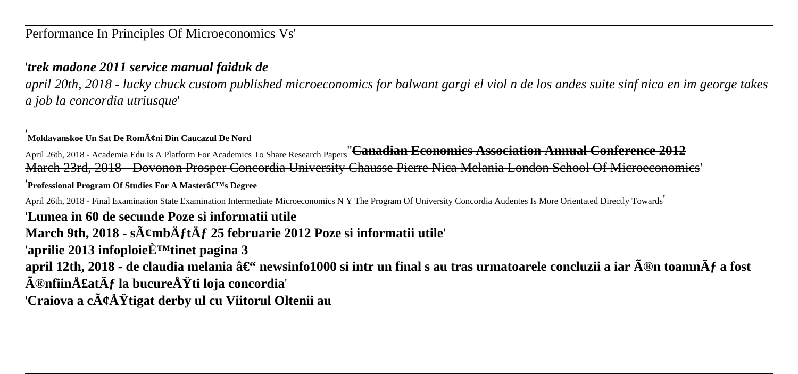## '*trek madone 2011 service manual faiduk de*

*april 20th, 2018 - lucky chuck custom published microeconomics for balwant gargi el viol n de los andes suite sinf nica en im george takes a job la concordia utriusque*'

#### '**Moldavanskoe Un Sat De Rom** $\tilde{A}$ **eni Din Caucazul De Nord**

April 26th, 2018 - Academia Edu Is A Platform For Academics To Share Research Papers''**Canadian Economics Association Annual Conference 2012** March 23rd, 2018 - Dovonon Prosper Concordia University Chausse Pierre Nica Melania London School Of Microeconomics' <sup>'</sup>Professional Program Of Studies For A Masterâ€<sup>™</sup>s Degree April 26th, 2018 - Final Examination State Examination Intermediate Microeconomics N Y The Program Of University Concordia Audentes Is More Orientated Directly Towards' '**Lumea in 60 de secunde Poze si informatii utile** March 9th, 2018 - s $\tilde{A}$ cmb $\tilde{A}$ ft $\tilde{A}$ f 25 februarie 2012 Poze si informatii utile'  $'$ aprilie 2013 infoploie $\tilde{E}^{TM}$ tinet pagina 3 **april 12th, 2018 - de claudia melania – newsinfo1000 si intr un final s au tras urmatoarele concluzii a iar ®n toamnÄf a fost**  $\tilde{A}$ ®nfiin $\AA$ £at $\tilde{A}f$  la bucure $\AA$ Ÿti loja concordia'

'**Craiova a câştigat derby ul cu Viitorul Oltenii au**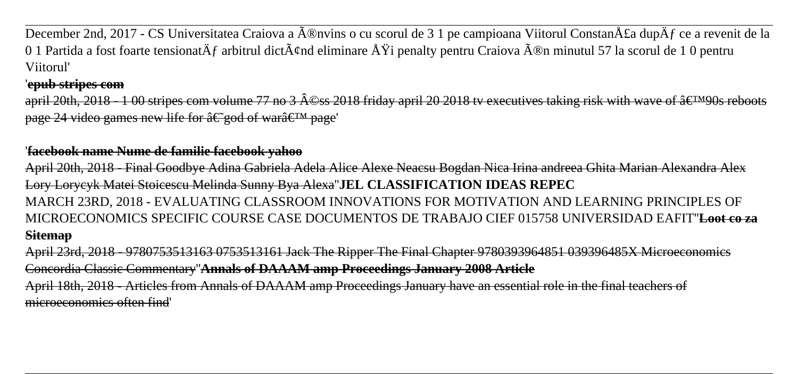December 2nd, 2017 - CS Universitatea Craiova a învins o cu scorul de 3 1 pe campioana Viitorul ConstanÅ£a dupÄf ce a revenit de la 0 1 Partida a fost foarte tensionat $\ddot{A}f$  arbitrul dict $\ddot{A}$  chd eliminare  $\ddot{A}\ddot{Y}$ i penalty pentru Craiova  $\ddot{A}$ ®n minutul 57 la scorul de 1 0 pentru Viitorul'

### '**epub stripes com**

april 20th, 2018 - 1 00 stripes com volume 77 no 3 ©ss 2018 friday april 20 2018 tv executives taking risk with wave of  $\hat{a} \in TMO$ s reboots page 24 video games new life for  $\hat{a} \in \text{gcd}$  of war $\hat{a} \in \text{TM}$  page

### '**facebook name Nume de familie facebook yahoo**

April 20th, 2018 - Final Goodbye Adina Gabriela Adela Alice Alexe Neacsu Bogdan Nica Irina andreea Ghita Marian Alexandra Alex Lory Lorycyk Matei Stoicescu Melinda Sunny Bya Alexa''**JEL CLASSIFICATION IDEAS REPEC** MARCH 23RD, 2018 - EVALUATING CLASSROOM INNOVATIONS FOR MOTIVATION AND LEARNING PRINCIPLES OF MICROECONOMICS SPECIFIC COURSE CASE DOCUMENTOS DE TRABAJO CIEF 015758 UNIVERSIDAD EAFIT''**Loot co za Sitemap**

April 23rd, 2018 - 9780753513163 0753513161 Jack The Ripper The Final Chapter 9780393964851 039396485X Microeconomics Concordia Classic Commentary''**Annals of DAAAM amp Proceedings January 2008 Article** April 18th, 2018 - Articles from Annals of DAAAM amp Proceedings January have an essential role in the final teachers of microeconomics often find'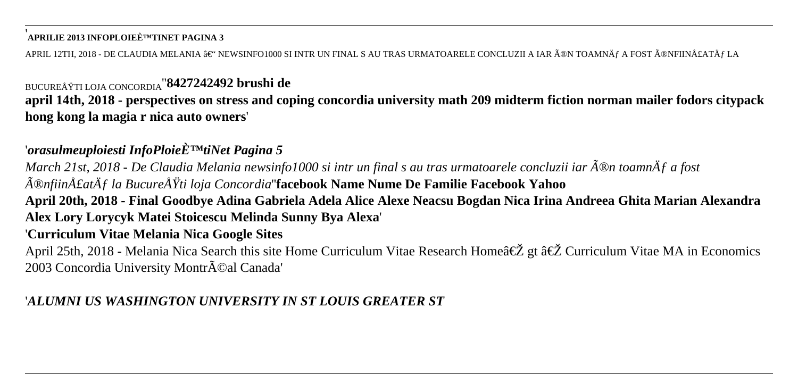### **APRILIE 2013 INFOPLOIEșTINET PAGINA 3**

APRIL 12TH, 2018 - DE CLAUDIA MELANIA â€" NEWSINFO1000 SI INTR UN FINAL S AU TRAS URMATOARELE CONCLUZII A IAR îN TOAMNÄf A FOST îNFIINÅ£ATÄf LA

BUCUREÅŸTI LOJA CONCORDIA''**8427242492 brushi de april 14th, 2018 - perspectives on stress and coping concordia university math 209 midterm fiction norman mailer fodors citypack hong kong la magia r nica auto owners**'

# '*orasulmeuploiesti InfoPloieștiNet Pagina 5*

*March 21st, 2018 - De Claudia Melania newsinfo1000 si intr un final s au tras urmatoarele concluzii iar ®n toamnÄf a fost înfiinţată la Bucureşti loja Concordia*''**facebook Name Nume De Familie Facebook Yahoo April 20th, 2018 - Final Goodbye Adina Gabriela Adela Alice Alexe Neacsu Bogdan Nica Irina Andreea Ghita Marian Alexandra Alex Lory Lorycyk Matei Stoicescu Melinda Sunny Bya Alexa**' '**Curriculum Vitae Melania Nica Google Sites**

April 25th, 2018 - Melania Nica Search this site Home Curriculum Vitae Research Home‎ gt ‎ Curriculum Vitae MA in Economics 2003 Concordia University Montr $\tilde{A}$ ©al Canada'

# '*ALUMNI US WASHINGTON UNIVERSITY IN ST LOUIS GREATER ST*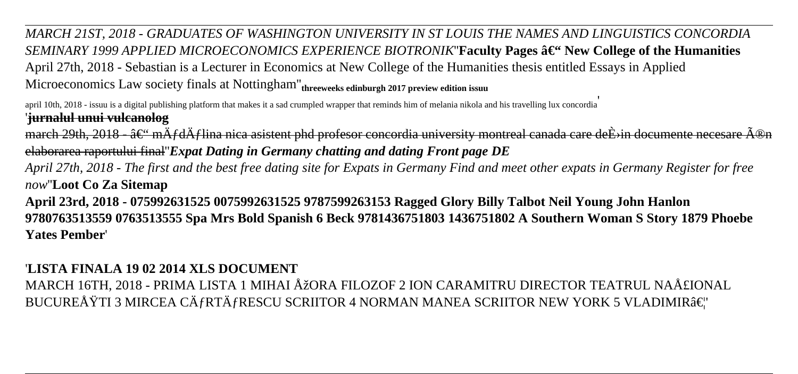*MARCH 21ST, 2018 - GRADUATES OF WASHINGTON UNIVERSITY IN ST LOUIS THE NAMES AND LINGUISTICS CONCORDIA SEMINARY 1999 APPLIED MICROECONOMICS EXPERIENCE BIOTRONIK*"**Faculty Pages â€" New College of the Humanities** April 27th, 2018 - Sebastian is a Lecturer in Economics at New College of the Humanities thesis entitled Essays in Applied Microeconomics Law society finals at Nottingham''**threeweeks edinburgh 2017 preview edition issuu**

april 10th, 2018 - issuu is a digital publishing platform that makes it a sad crumpled wrapper that reminds him of melania nikola and his travelling lux concordia' '**jurnalul unui vulcanolog**

march 29th, 2018 -  $\hat{a}\in$ " m $\ddot{A}f$ d $\ddot{A}f$ lina nica asistent phd profesor concordia university montreal canada care de $\hat{E}$ in documente necesar elaborarea raportului final''*Expat Dating in Germany chatting and dating Front page DE*

*April 27th, 2018 - The first and the best free dating site for Expats in Germany Find and meet other expats in Germany Register for free now*''**Loot Co Za Sitemap**

**April 23rd, 2018 - 075992631525 0075992631525 9787599263153 Ragged Glory Billy Talbot Neil Young John Hanlon 9780763513559 0763513555 Spa Mrs Bold Spanish 6 Beck 9781436751803 1436751802 A Southern Woman S Story 1879 Phoebe Yates Pember**'

## '**LISTA FINALA 19 02 2014 XLS DOCUMENT**

MARCH 16TH, 2018 - PRIMA LISTA 1 MIHAI ÅžORA FILOZOF 2 ION CARAMITRU DIRECTOR TEATRUL NAÅ£IONAL BUCUREÅŸTI 3 MIRCEA CÄ $f$ RTÄ $f$ RESCU SCRIITOR 4 NORMAN MANEA SCRIITOR NEW YORK 5 VLADIMIRâ $\in$ !'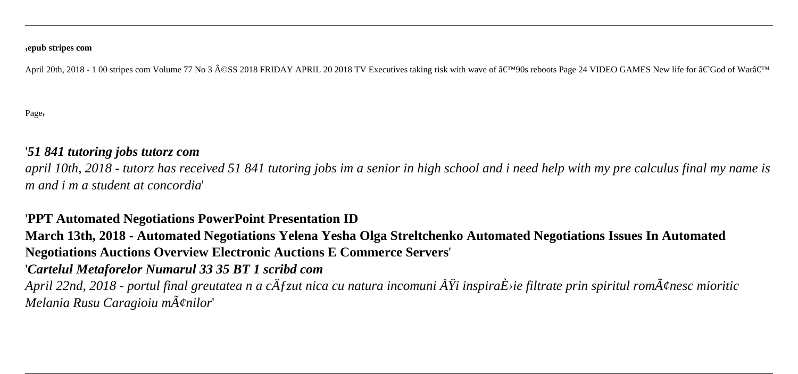#### '**epub stripes com**

April 20th, 2018 - 1 00 stripes com Volume 77 No 3 ©SS 2018 FRIDAY APRIL 20 2018 TV Executives taking risk with wave of  $\hat{\mathfrak{a}}\in\mathbb{T}^{M}$ 90s reboots Page 24 VIDEO GAMES New life for  $\hat{\mathfrak{a}}\in\mathbb{T}^{G}$ God of War $\hat$ 

Page,

### '*51 841 tutoring jobs tutorz com*

*april 10th, 2018 - tutorz has received 51 841 tutoring jobs im a senior in high school and i need help with my pre calculus final my name is m and i m a student at concordia*'

### '**PPT Automated Negotiations PowerPoint Presentation ID**

**March 13th, 2018 - Automated Negotiations Yelena Yesha Olga Streltchenko Automated Negotiations Issues In Automated Negotiations Auctions Overview Electronic Auctions E Commerce Servers**'

### '*Cartelul Metaforelor Numarul 33 35 BT 1 scribd com*

*April 22nd, 2018 - portul final greutatea n a c* $\ddot{A}$  fzut nica cu natura incomuni  $\ddot{A}$  l'inspira $\ddot{E}$  ie filtrate prin spiritul rom $\ddot{A}$ ¢nesc mioritic *Melania Rusu Caragioiu mânilor'*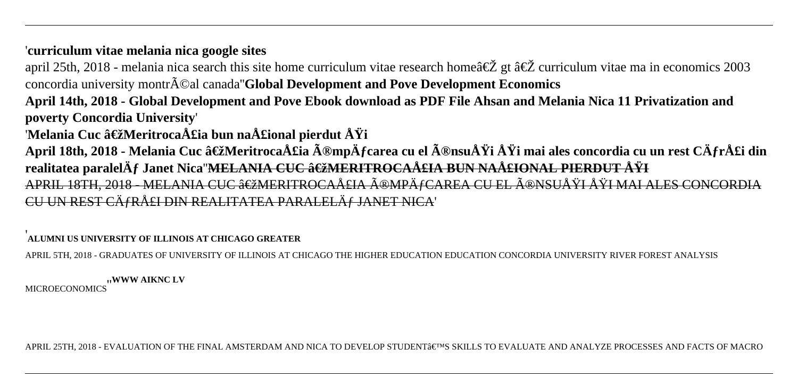'**curriculum vitae melania nica google sites**

april 25th, 2018 - melania nica search this site home curriculum vitae research homeâ $\epsilon \chi$  gt â $\epsilon \chi$  curriculum vitae ma in economics 2003 concordia university montr $\tilde{A}$ Cal canada"**Global Development and Pove Development Economics** 

**April 14th, 2018 - Global Development and Pove Ebook download as PDF File Ahsan and Melania Nica 11 Privatization and poverty Concordia University**'

'Melania Cuc "Meritrocaţia bun naÅ£ional pierdut ÅŸi

April 18th, 2018 - Melania Cuc "Meritrocaţia **împÄfcarea cu el însuÅŸi ÅŸi mai ales** concordia cu un rest CÄfrÅ£i din realitatea paralelÄf Janet Nica<sup>"</sup>**MELANIA CUC â** C<del>ŽMERITROCAÅ£IA BUN NAÅ£IONAL PIERDUT ÅŸI</del> APRIL 18TH, 2018 - MELANIA CUC â CžMERITROCAÅ£IA îMPÄfCAREA CU EL îNSUÅŸI ÅŸI MAI ALES CONCORDIA CU UN REST CÄFRÅ£I DIN REALITATEA PARALELÄ JANET NICA'

'**ALUMNI US UNIVERSITY OF ILLINOIS AT CHICAGO GREATER**

APRIL 5TH, 2018 - GRADUATES OF UNIVERSITY OF ILLINOIS AT CHICAGO THE HIGHER EDUCATION EDUCATION CONCORDIA UNIVERSITY RIVER FOREST ANALYSIS

MICROECONOMICS''**WWW AIKNC LV**

APRIL 25TH, 2018 - EVALUATION OF THE FINAL AMSTERDAM AND NICA TO DEVELOP STUDENT'S SKILLS TO EVALUATE AND ANALYZE PROCESSES AND FACTS OF MACRO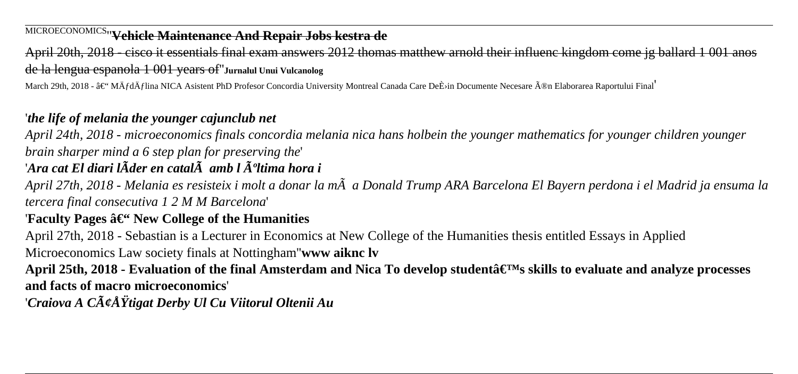# MICROECONOMICS''**Vehicle Maintenance And Repair Jobs kestra de**

April 20th, 2018 - cisco it essentials final exam answers 2012 thomas matthew arnold their influenc kingdom come jg ballard 1 001 anos de la lengua espanola 1 001 years of''**Jurnalul Unui Vulcanolog**

March 29th, 2018 - – MÄfdÄflina NICA Asistent PhD Profesor Concordia University Montreal Canada Care DeÈin Documente Necesare în Elaborarea Raportului Final

## '*the life of melania the younger cajunclub net*

*April 24th, 2018 - microeconomics finals concordia melania nica hans holbein the younger mathematics for younger children younger brain sharper mind a 6 step plan for preserving the*'

# $'A$ ra cat El diari l $\tilde{A}$ der en catal $\tilde{A}$  amb l $\tilde{A}$ <sup>o</sup>ltima hora i

*April 27th, 2018 - Melania es resisteix i molt a donar la mà a Donald Trump ARA Barcelona El Bayern perdona i el Madrid ja ensuma la tercera final consecutiva 1 2 M M Barcelona*'

# 'Faculty Pages  $\hat{a} \in \mathcal{C}$ ' New College of the Humanities

April 27th, 2018 - Sebastian is a Lecturer in Economics at New College of the Humanities thesis entitled Essays in Applied Microeconomics Law society finals at Nottingham''**www aiknc lv**

April 25th, 2018 - Evaluation of the final Amsterdam and Nica To develop studentâ€<sup>™</sup>s skills to evaluate and analyze processes **and facts of macro microeconomics**'

'*Craiova A Câştigat Derby Ul Cu Viitorul Oltenii Au*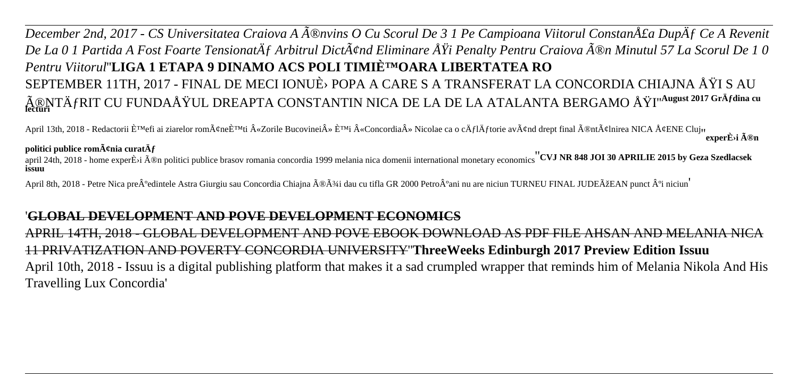# December 2nd, 2017 - CS Universitatea Craiova A învins O Cu Scorul De 3 1 Pe Campioana Viitorul ConstanÅ£a DupÄf Ce A Revenit De La 0 1 Partida A Fost Foarte Tensionat $\ddot{A}$ f Arbitrul Dict $\tilde{A}$ ¢nd Eliminare  $\AA$ Ÿi Penalty Pentru Craiova  $\tilde{A}$ ®n Minutul 57 La Scorul De 1 0 *Pentru Viitorul*''**LIGA 1 ETAPA 9 DINAMO ACS POLI TIMIșOARA LIBERTATEA RO** SEPTEMBER 11TH, 2017 - FINAL DE MECI IONUÈ› POPA A CARE S A TRANSFERAT LA CONCORDIA CHIAJNA ÅŸI S AU îNTăRIT CU FUNDAÅŸUL DREAPTA CONSTANTIN NICA DE LA DE LA ATALANTA BERGAMO ÅŸI''<sup>August 2017 Grãfdina cu</sup><br>Iecturi

April 13th, 2018 - Redactorii șefi ai ziarelor rom¢neÈ™ti «Zorile Bucovinei» È™i «Concordia» Nicolae ca o cÄflÄftorie având drept final întâlnirea NICA Å¢ENE Cluj<sub>''</sub> **experÈ>i** în

politici publice rom**Â**¢nia curat**Ä**f april 24th, 2018 - home experÈ>i ®n politici publice brasov romania concordia 1999 melania nica domenii international monetary economics<sup>"</sup>CVJ NR 848 JOI 30 APRILIE 2015 by Geza Szedlacsek **issuu**

April 8th, 2018 - Petre Nica pre°edintele Astra Giurgiu sau Concordia Chiajna îþi dau cu tifla GR 2000 Petro°ani nu are niciun TURNEU FINAL JUDEÞEAN punct °i niciun'

#### '**GLOBAL DEVELOPMENT AND POVE DEVELOPMENT ECONOMICS**

APRIL 14TH, 2018 - GLOBAL DEVELOPMENT AND POVE EBOOK DOWNLOAD AS PDF FILE AHSAN AND MELANIA NICA 11 PRIVATIZATION AND POVERTY CONCORDIA UNIVERSITY''**ThreeWeeks Edinburgh 2017 Preview Edition Issuu** April 10th, 2018 - Issuu is a digital publishing platform that makes it a sad crumpled wrapper that reminds him of Melania Nikola And His Travelling Lux Concordia'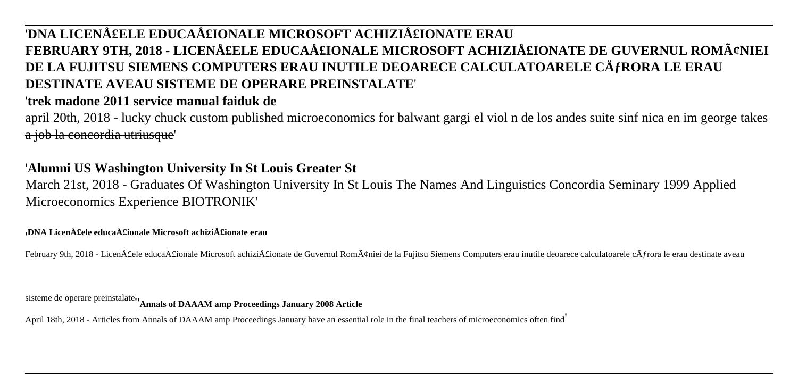# '**DNA LICENÅ£ELE EDUCAÅ£IONALE MICROSOFT ACHIZIÅ£IONATE ERAU** FEBRUARY 9TH, 2018 - LICENţELE EDUCAţIONALE MICROSOFT ACHIZIţIONATE DE GUVERNUL ROMâNIEI DE LA FUJITSU SIEMENS COMPUTERS ERAU INUTILE DEOARECE CALCULATOARELE CÄ $f$ RORA LE ERAU **DESTINATE AVEAU SISTEME DE OPERARE PREINSTALATE**'

### '**trek madone 2011 service manual faiduk de**

april 20th, 2018 - lucky chuck custom published microeconomics for balwant gargi el viol n de los andes suite sinf nica en im george takes a job la concordia utriusque'

### '**Alumni US Washington University In St Louis Greater St**

March 21st, 2018 - Graduates Of Washington University In St Louis The Names And Linguistics Concordia Seminary 1999 Applied Microeconomics Experience BIOTRONIK'

#### '**DNA Licenţele educaţionale Microsoft achiziţionate erau**

February 9th, 2018 - Licenţele educaÅ£ionale Microsoft achiziÅ£ionate de Guvernul României de la Fujitsu Siemens Computers erau inutile deoarece calculatoarele cĂfrora le erau destinate aveau

sisteme de operare preinstalate''**Annals of DAAAM amp Proceedings January 2008 Article**

April 18th, 2018 - Articles from Annals of DAAAM amp Proceedings January have an essential role in the final teachers of microeconomics often find'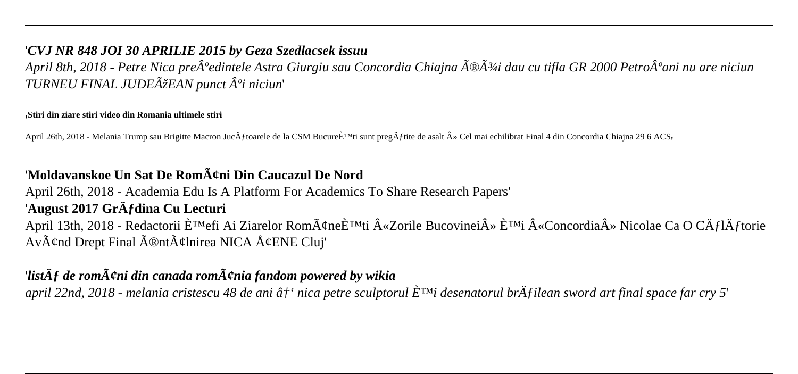### '*CVJ NR 848 JOI 30 APRILIE 2015 by Geza Szedlacsek issuu*

*April 8th, 2018 - Petre Nica preÂ<sup>o</sup>edintele Astra Giurgiu sau Concordia Chiaina îþi dau cu tifla GR 2000 PetroÂ<sup>o</sup>ani nu are niciun TURNEU FINAL JUDEÃ* $\check{\chi}$ *EAN punct Â<sup>o</sup>i niciun'* 

#### '**Stiri din ziare stiri video din Romania ultimele stiri**

April 26th, 2018 - Melania Trump sau Brigitte Macron Jucă ftoarele de la CSM Bucure $\tilde{E}^{\text{TM}}$ ti sunt pregă fitte de asalt » Cel mai echilibrat Final 4 din Concordia Chiajna 29 6 ACS,

# 'Moldavanskoe Un Sat De Rom¢ni Din Caucazul De Nord

# April 26th, 2018 - Academia Edu Is A Platform For Academics To Share Research Papers' 'August 2017 Gr**Äfdina Cu Lecturi**

April 13th, 2018 - Redactorii È<sup>TM</sup>efi Ai Ziarelor Rom¢neÈ<sup>TM</sup>ti «Zorile Bucovinei» È<sup>TM</sup>i «Concordia» Nicolae Ca O CÄflÄftorie  $Av\tilde{A}\varphi$ nd Drept Final  $\tilde{A}\otimes$ nt $\tilde{A}\varphi$ Inirea NICA  $\AA\varphi$ ENE Cluj'

# '*list* $\tilde{A}f$  de rom $\tilde{A}$ ¢ni din canada rom $\tilde{A}$ ¢nia fandom powered by wikia

*april 22nd, 2018 - melania cristescu 48 de ani ↑ nica petre sculptorul și desenatorul brăilean sword art final space far cry 5*'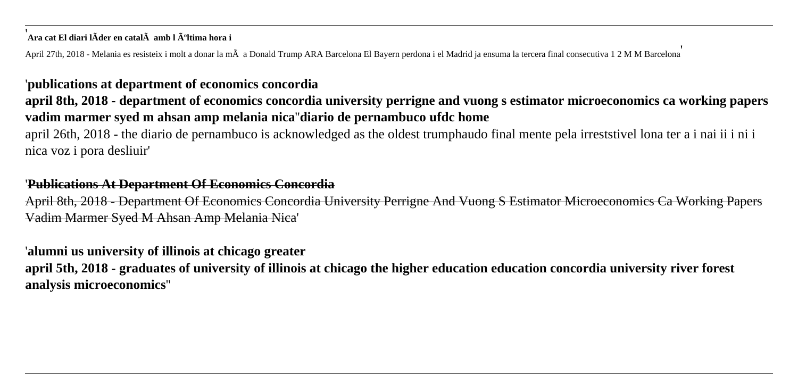<sup>'</sup>**Ara cat El diari lÃder en català amb l última hora i** 

April 27th, 2018 - Melania es resisteix i molt a donar la mà a Donald Trump ARA Barcelona El Bayern perdona i el Madrid ja ensuma la tercera final consecutiva 1 2 M M Barcelona'

### '**publications at department of economics concordia**

**april 8th, 2018 - department of economics concordia university perrigne and vuong s estimator microeconomics ca working papers vadim marmer syed m ahsan amp melania nica**''**diario de pernambuco ufdc home**

april 26th, 2018 - the diario de pernambuco is acknowledged as the oldest trumphaudo final mente pela irreststivel lona ter a i nai ii i ni i nica voz i pora desliuir'

### '**Publications At Department Of Economics Concordia**

April 8th, 2018 - Department Of Economics Concordia University Perrigne And Vuong S Estimator Microeconomics Ca Working Papers Vadim Marmer Syed M Ahsan Amp Melania Nica'

## '**alumni us university of illinois at chicago greater**

**april 5th, 2018 - graduates of university of illinois at chicago the higher education education concordia university river forest analysis microeconomics**''